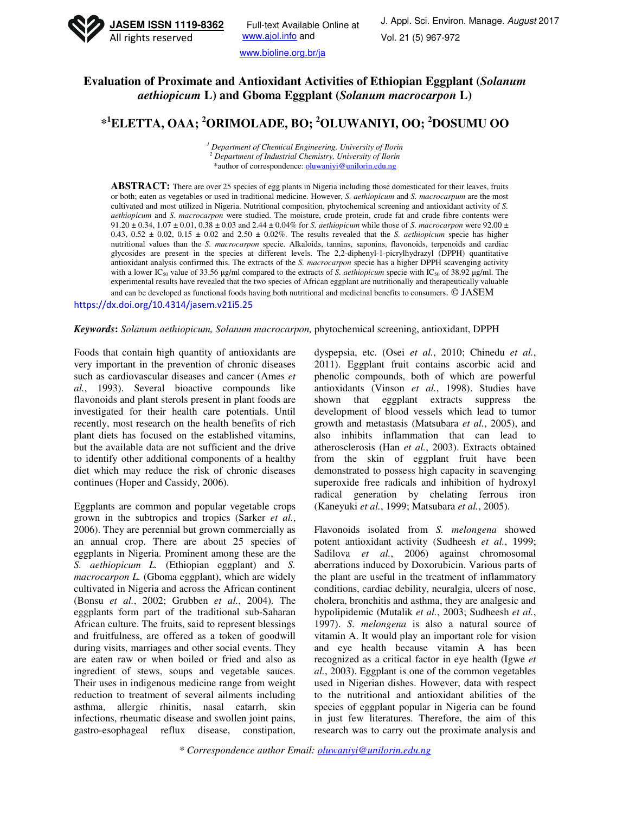

www.bioline.org.br/ja

## **Evaluation of Proximate and Antioxidant Activities of Ethiopian Eggplant (***Solanum aethiopicum* **L) and Gboma Eggplant (***Solanum macrocarpon* **L)**

# **\* <sup>1</sup>ELETTA, OAA; <sup>2</sup>ORIMOLADE, BO; <sup>2</sup>OLUWANIYI, OO; <sup>2</sup>DOSUMU OO**

*1 Department of Chemical Engineering, University of Ilorin 2 Department of Industrial Chemistry, University of Ilorin*  \*author of correspondence: oluwaniyi@unilorin.edu.ng

**ABSTRACT:** There are over 25 species of egg plants in Nigeria including those domesticated for their leaves, fruits or both; eaten as vegetables or used in traditional medicine. However, *S. aethiopicum* and *S. macrocarpum* are the most cultivated and most utilized in Nigeria. Nutritional composition, phytochemical screening and antioxidant activity of *S. aethiopicum* and *S. macrocarpon* were studied. The moisture, crude protein, crude fat and crude fibre contents were 91.20 ± 0.34, 1.07 ± 0.01, 0.38 ± 0.03 and 2.44 ± 0.04% for *S. aethiopicum* while those of *S. macrocarpon* were 92.00 ±  $0.43, 0.52 \pm 0.02, 0.15 \pm 0.02$  and  $2.50 \pm 0.02\%$ . The results revealed that the *S. aethiopicum* specie has higher nutritional values than the *S. macrocarpon* specie. Alkaloids, tannins, saponins, flavonoids, terpenoids and cardiac glycosides are present in the species at different levels. The 2,2-diphenyl-1-picrylhydrazyl (DPPH) quantitative antioxidant analysis confirmed this. The extracts of the *S. macrocarpon* specie has a higher DPPH scavenging activity with a lower IC<sub>50</sub> value of 33.56 µg/ml compared to the extracts of *S. aethiopicum* specie with IC<sub>50</sub> of 38.92 µg/ml. The experimental results have revealed that the two species of African eggplant are nutritionally and therapeutically valuable and can be developed as functional foods having both nutritional and medicinal benefits to consumers. © JASEM

https://dx.doi.org/10.4314/jasem.v21i5.25

#### *Keywords***:** *Solanum aethiopicum, Solanum macrocarpon,* phytochemical screening, antioxidant, DPPH

Foods that contain high quantity of antioxidants are very important in the prevention of chronic diseases such as cardiovascular diseases and cancer (Ames *et al.*, 1993). Several bioactive compounds like flavonoids and plant sterols present in plant foods are investigated for their health care potentials. Until recently, most research on the health benefits of rich plant diets has focused on the established vitamins, but the available data are not sufficient and the drive to identify other additional components of a healthy diet which may reduce the risk of chronic diseases continues (Hoper and Cassidy, 2006).

Eggplants are common and popular vegetable crops grown in the subtropics and tropics (Sarker *et al.*, 2006). They are perennial but grown commercially as an annual crop. There are about 25 species of eggplants in Nigeria. Prominent among these are the *S. aethiopicum L.* (Ethiopian eggplant) and *S. macrocarpon L.* (Gboma eggplant), which are widely cultivated in Nigeria and across the African continent (Bonsu *et al.*, 2002; Grubben *et al.*, 2004). The eggplants form part of the traditional sub-Saharan African culture. The fruits, said to represent blessings and fruitfulness, are offered as a token of goodwill during visits, marriages and other social events. They are eaten raw or when boiled or fried and also as ingredient of stews, soups and vegetable sauces. Their uses in indigenous medicine range from weight reduction to treatment of several ailments including asthma, allergic rhinitis, nasal catarrh, skin infections, rheumatic disease and swollen joint pains, gastro-esophageal reflux disease, constipation,

dyspepsia, etc. (Osei *et al.*, 2010; Chinedu *et al.*, 2011). Eggplant fruit contains ascorbic acid and phenolic compounds, both of which are powerful antioxidants (Vinson *et al.*, 1998). Studies have shown that eggplant extracts suppress the development of blood vessels which lead to tumor growth and metastasis (Matsubara *et al.*, 2005), and also inhibits inflammation that can lead to atherosclerosis (Han *et al.*, 2003). Extracts obtained from the skin of eggplant fruit have been demonstrated to possess high capacity in scavenging superoxide free radicals and inhibition of hydroxyl radical generation by chelating ferrous iron (Kaneyuki *et al.*, 1999; Matsubara *et al.*, 2005).

Flavonoids isolated from *S. melongena* showed potent antioxidant activity (Sudheesh *et al.*, 1999; Sadilova *et al.*, 2006) against chromosomal aberrations induced by Doxorubicin. Various parts of the plant are useful in the treatment of inflammatory conditions, cardiac debility, neuralgia, ulcers of nose, cholera, bronchitis and asthma, they are analgesic and hypolipidemic (Mutalik *et al.*, 2003; Sudheesh *et al.*, 1997). *S. melongena* is also a natural source of vitamin A. It would play an important role for vision and eye health because vitamin A has been recognized as a critical factor in eye health (Igwe *et al.*, 2003). Eggplant is one of the common vegetables used in Nigerian dishes. However, data with respect to the nutritional and antioxidant abilities of the species of eggplant popular in Nigeria can be found in just few literatures. Therefore, the aim of this research was to carry out the proximate analysis and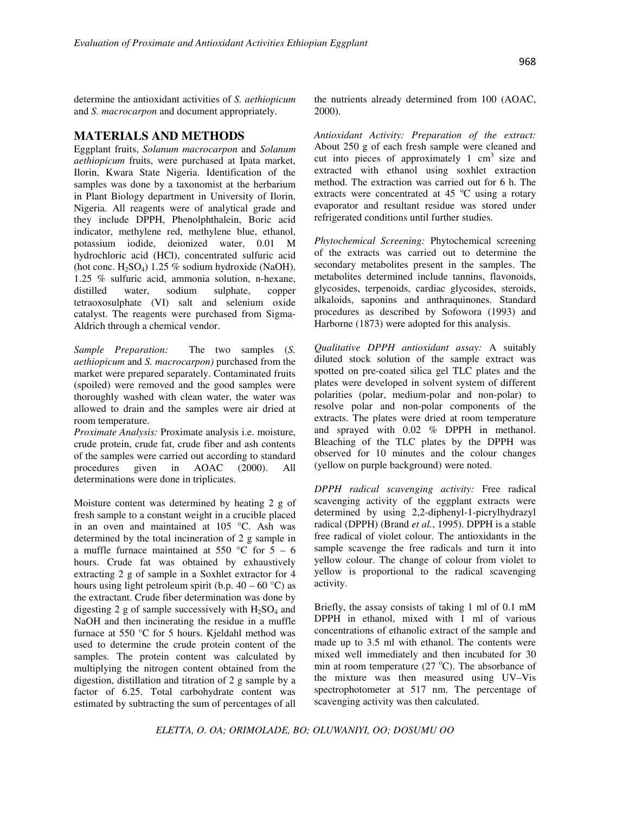determine the antioxidant activities of *S. aethiopicum* and *S. macrocarpon* and document appropriately.

## **MATERIALS AND METHODS**

Eggplant fruits, *Solanum macrocarpon* and *Solanum aethiopicum* fruits, were purchased at Ipata market, Ilorin, Kwara State Nigeria. Identification of the samples was done by a taxonomist at the herbarium in Plant Biology department in University of Ilorin, Nigeria. All reagents were of analytical grade and they include DPPH, Phenolphthalein, Boric acid indicator, methylene red, methylene blue, ethanol, potassium iodide, deionized water, 0.01 M hydrochloric acid (HCl), concentrated sulfuric acid (hot conc.  $H_2SO_4$ ) 1.25 % sodium hydroxide (NaOH), 1.25 % sulfuric acid, ammonia solution, n-hexane, distilled water, sodium sulphate, copper tetraoxosulphate (VI) salt and selenium oxide catalyst. The reagents were purchased from Sigma-Aldrich through a chemical vendor.

*Sample Preparation:* The two samples (*S. aethiopicum* and *S. macrocarpon)* purchased from the market were prepared separately. Contaminated fruits (spoiled) were removed and the good samples were thoroughly washed with clean water, the water was allowed to drain and the samples were air dried at room temperature.

*Proximate Analysis:* Proximate analysis i.e. moisture, crude protein, crude fat, crude fiber and ash contents of the samples were carried out according to standard procedures given in AOAC (2000). All determinations were done in triplicates.

Moisture content was determined by heating 2 g of fresh sample to a constant weight in a crucible placed in an oven and maintained at 105 °C. Ash was determined by the total incineration of 2 g sample in a muffle furnace maintained at 550  $^{\circ}$ C for 5 – 6 hours. Crude fat was obtained by exhaustively extracting 2 g of sample in a Soxhlet extractor for 4 hours using light petroleum spirit (b.p.  $40 - 60$  °C) as the extractant. Crude fiber determination was done by digesting 2 g of sample successively with  $H_2SO_4$  and NaOH and then incinerating the residue in a muffle furnace at 550 °C for 5 hours. Kjeldahl method was used to determine the crude protein content of the samples. The protein content was calculated by multiplying the nitrogen content obtained from the digestion, distillation and titration of 2 g sample by a factor of 6.25. Total carbohydrate content was estimated by subtracting the sum of percentages of all the nutrients already determined from 100 (AOAC, 2000).

*Antioxidant Activity: Preparation of the extract:*  About 250 g of each fresh sample were cleaned and cut into pieces of approximately  $1 \text{ cm}^3$  size and extracted with ethanol using soxhlet extraction method. The extraction was carried out for 6 h. The extracts were concentrated at  $45^{\circ}$ C using a rotary evaporator and resultant residue was stored under refrigerated conditions until further studies.

*Phytochemical Screening:* Phytochemical screening of the extracts was carried out to determine the secondary metabolites present in the samples. The metabolites determined include tannins, flavonoids, glycosides, terpenoids, cardiac glycosides, steroids, alkaloids, saponins and anthraquinones. Standard procedures as described by Sofowora (1993) and Harborne (1873) were adopted for this analysis.

*Qualitative DPPH antioxidant assay:* A suitably diluted stock solution of the sample extract was spotted on pre-coated silica gel TLC plates and the plates were developed in solvent system of different polarities (polar, medium-polar and non-polar) to resolve polar and non-polar components of the extracts. The plates were dried at room temperature and sprayed with 0.02 % DPPH in methanol. Bleaching of the TLC plates by the DPPH was observed for 10 minutes and the colour changes (yellow on purple background) were noted.

*DPPH radical scavenging activity:* Free radical scavenging activity of the eggplant extracts were determined by using 2,2-diphenyl-1-picrylhydrazyl radical (DPPH) (Brand *et al.*, 1995). DPPH is a stable free radical of violet colour. The antioxidants in the sample scavenge the free radicals and turn it into yellow colour. The change of colour from violet to yellow is proportional to the radical scavenging activity.

Briefly, the assay consists of taking 1 ml of 0.1 mM DPPH in ethanol, mixed with 1 ml of various concentrations of ethanolic extract of the sample and made up to 3.5 ml with ethanol. The contents were mixed well immediately and then incubated for 30 min at room temperature  $(27 \text{ °C})$ . The absorbance of the mixture was then measured using UV–Vis spectrophotometer at 517 nm. The percentage of scavenging activity was then calculated.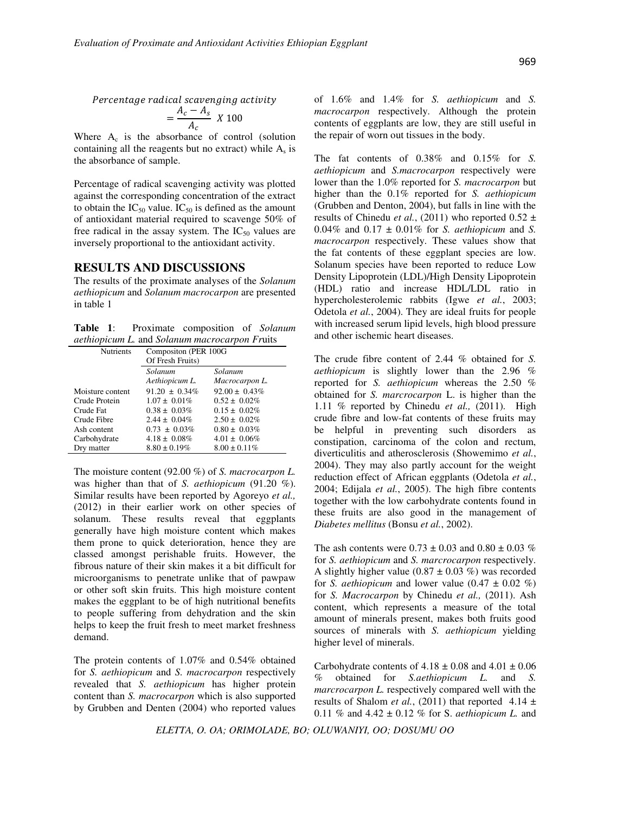Percentage radical scavenging activity

$$
=\frac{A_c - A_s}{A_c} \times 100
$$

Where  $A_c$  is the absorbance of control (solution containing all the reagents but no extract) while  $A_s$  is the absorbance of sample.

Percentage of radical scavenging activity was plotted against the corresponding concentration of the extract to obtain the  $IC_{50}$  value.  $IC_{50}$  is defined as the amount of antioxidant material required to scavenge 50% of free radical in the assay system. The  $IC_{50}$  values are inversely proportional to the antioxidant activity.

#### **RESULTS AND DISCUSSIONS**

The results of the proximate analyses of the *Solanum aethiopicum* and *Solanum macrocarpon* are presented in table 1

**Table 1**: Proximate composition of *Solanum aethiopicum L.* and *Solanum macrocarpon Fr*uits

| Nutrients        | Compositon (PER 100G<br>Of Fresh Fruits) |                    |  |
|------------------|------------------------------------------|--------------------|--|
|                  | Solanum                                  | Solanum            |  |
|                  | Aethiopicum L.                           | Macrocarpon L.     |  |
| Moisture content | $91.20 \pm 0.34\%$                       | $92.00 \pm 0.43\%$ |  |
| Crude Protein    | $1.07 \pm 0.01\%$                        | $0.52 \pm 0.02\%$  |  |
| Crude Fat        | $0.38 \pm 0.03\%$                        | $0.15 \pm 0.02\%$  |  |
| Crude Fibre      | $2.44 \pm 0.04\%$                        | $2.50 \pm 0.02\%$  |  |
| Ash content      | $0.73 \pm 0.03\%$                        | $0.80 \pm 0.03\%$  |  |
| Carbohydrate     | $4.18 \pm 0.08\%$                        | $4.01 \pm 0.06\%$  |  |
| Dry matter       | $8.80 \pm 0.19\%$                        | $8.00 \pm 0.11\%$  |  |

The moisture content (92.00 %) of *S. macrocarpon L.* was higher than that of *S. aethiopicum* (91.20 %). Similar results have been reported by Agoreyo *et al.,*  (2012) in their earlier work on other species of solanum. These results reveal that eggplants generally have high moisture content which makes them prone to quick deterioration, hence they are classed amongst perishable fruits. However, the fibrous nature of their skin makes it a bit difficult for microorganisms to penetrate unlike that of pawpaw or other soft skin fruits. This high moisture content makes the eggplant to be of high nutritional benefits to people suffering from dehydration and the skin helps to keep the fruit fresh to meet market freshness demand.

The protein contents of 1.07% and 0.54% obtained for *S. aethiopicum* and *S. macrocarpon* respectively revealed that *S. aethiopicum* has higher protein content than *S. macrocarpon* which is also supported by Grubben and Denten (2004) who reported values of 1.6% and 1.4% for *S. aethiopicum* and *S. macrocarpon* respectively. Although the protein contents of eggplants are low, they are still useful in the repair of worn out tissues in the body.

The fat contents of 0.38% and 0.15% for *S. aethiopicum* and *S.macrocarpon* respectively were lower than the 1.0% reported for *S. macrocarpon* but higher than the 0.1% reported for *S. aethiopicum*  (Grubben and Denton, 2004), but falls in line with the results of Chinedu *et al.*, (2011) who reported  $0.52 \pm$ 0.04% and 0.17 ± 0.01% for *S. aethiopicum* and *S. macrocarpon* respectively. These values show that the fat contents of these eggplant species are low. Solanum species have been reported to reduce Low Density Lipoprotein (LDL)/High Density Lipoprotein (HDL) ratio and increase HDL/LDL ratio in hypercholesterolemic rabbits (Igwe *et al.*, 2003; Odetola *et al.*, 2004). They are ideal fruits for people with increased serum lipid levels, high blood pressure and other ischemic heart diseases.

The crude fibre content of 2.44 % obtained for *S. aethiopicum* is slightly lower than the 2.96 % reported for *S. aethiopicum* whereas the 2.50 % obtained for *S. marcrocarpon* L. is higher than the 1.11 % reported by Chinedu *et al.,* (2011). High crude fibre and low-fat contents of these fruits may be helpful in preventing such disorders as constipation, carcinoma of the colon and rectum, diverticulitis and atherosclerosis (Showemimo *et al.*, 2004). They may also partly account for the weight reduction effect of African eggplants (Odetola *et al.*, 2004; Edijala *et al.*, 2005). The high fibre contents together with the low carbohydrate contents found in these fruits are also good in the management of *Diabetes mellitus* (Bonsu *et al.*, 2002).

The ash contents were  $0.73 \pm 0.03$  and  $0.80 \pm 0.03$  % for *S. aethiopicum* and *S. marcrocarpon* respectively. A slightly higher value  $(0.87 \pm 0.03 \%)$  was recorded for *S. aethiopicum* and lower value  $(0.47 \pm 0.02 \%)$ for *S. Macrocarpon* by Chinedu *et al.,* (2011). Ash content, which represents a measure of the total amount of minerals present, makes both fruits good sources of minerals with *S. aethiopicum* yielding higher level of minerals.

Carbohydrate contents of  $4.18 \pm 0.08$  and  $4.01 \pm 0.06$ % obtained for *S.aethiopicum L.* and *S. marcrocarpon L.* respectively compared well with the results of Shalom *et al.*, (2011) that reported  $4.14 \pm$ 0.11 % and 4.42 ± 0.12 % for S. *aethiopicum L.* and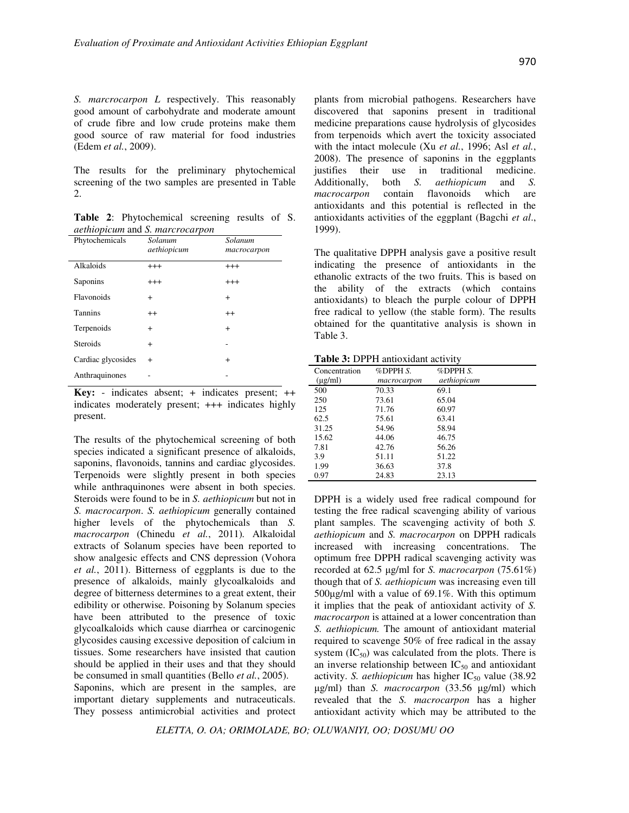*S. marcrocarpon L* respectively. This reasonably good amount of carbohydrate and moderate amount of crude fibre and low crude proteins make them good source of raw material for food industries (Edem *et al.*, 2009).

The results for the preliminary phytochemical screening of the two samples are presented in Table  $\mathcal{D}$ 

**Table 2**: Phytochemical screening results of S. *aethiopicum* and *S. marcrocarpon*

| Phytochemicals     | Solanum<br>aethiopicum | Solanum<br>macrocarpon |
|--------------------|------------------------|------------------------|
| Alkaloids          | $^{+++}$               | $^{+++}$               |
| Saponins           | $^{+++}$               | $^{+++}$               |
| Flavonoids         | $+$                    | $^{+}$                 |
| <b>Tannins</b>     | $^{++}$                | $^{++}$                |
| Terpenoids         | $^{+}$                 | $^{+}$                 |
| <b>Steroids</b>    | $+$                    |                        |
| Cardiac glycosides | $\overline{+}$         | $^{+}$                 |
| Anthraquinones     |                        |                        |

**Key:** - indicates absent; + indicates present; ++ indicates moderately present; +++ indicates highly present.

The results of the phytochemical screening of both species indicated a significant presence of alkaloids, saponins, flavonoids, tannins and cardiac glycosides. Terpenoids were slightly present in both species while anthraquinones were absent in both species. Steroids were found to be in *S. aethiopicum* but not in *S. macrocarpon*. *S. aethiopicum* generally contained higher levels of the phytochemicals than *S. macrocarpon* (Chinedu *et al.*, 2011)*.* Alkaloidal extracts of Solanum species have been reported to show analgesic effects and CNS depression (Vohora *et al.*, 2011). Bitterness of eggplants is due to the presence of alkaloids, mainly glycoalkaloids and degree of bitterness determines to a great extent, their edibility or otherwise. Poisoning by Solanum species have been attributed to the presence of toxic glycoalkaloids which cause diarrhea or carcinogenic glycosides causing excessive deposition of calcium in tissues. Some researchers have insisted that caution should be applied in their uses and that they should be consumed in small quantities (Bello *et al.*, 2005).

Saponins, which are present in the samples, are important dietary supplements and nutraceuticals. They possess antimicrobial activities and protect

plants from microbial pathogens. Researchers have discovered that saponins present in traditional medicine preparations cause hydrolysis of glycosides from terpenoids which avert the toxicity associated with the intact molecule (Xu *et al.*, 1996; Asl *et al.*, 2008). The presence of saponins in the eggplants justifies their use in traditional medicine. Additionally, both *S. aethiopicum* and *S. macrocarpon* contain flavonoids which are antioxidants and this potential is reflected in the antioxidants activities of the eggplant (Bagchi *et al*., 1999).

The qualitative DPPH analysis gave a positive result indicating the presence of antioxidants in the ethanolic extracts of the two fruits. This is based on the ability of the extracts (which contains antioxidants) to bleach the purple colour of DPPH free radical to yellow (the stable form). The results obtained for the quantitative analysis is shown in Table 3.

**Table 3:** DPPH antioxidant activity

| Concentration | %DPPH S.    | $%$ DPPH $S$ . |  |
|---------------|-------------|----------------|--|
| $(\mu g/ml)$  | macrocarpon | aethiopicum    |  |
| 500           | 70.33       | 69.1           |  |
| 250           | 73.61       | 65.04          |  |
| 125           | 71.76       | 60.97          |  |
| 62.5          | 75.61       | 63.41          |  |
| 31.25         | 54.96       | 58.94          |  |
| 15.62         | 44.06       | 46.75          |  |
| 7.81          | 42.76       | 56.26          |  |
| 3.9           | 51.11       | 51.22          |  |
| 1.99          | 36.63       | 37.8           |  |
| 0.97          | 24.83       | 23.13          |  |

DPPH is a widely used free radical compound for testing the free radical scavenging ability of various plant samples. The scavenging activity of both *S. aethiopicum* and *S. macrocarpon* on DPPH radicals increased with increasing concentrations. The optimum free DPPH radical scavenging activity was recorded at 62.5 µg/ml for *S. macrocarpon* (75.61%) though that of *S. aethiopicum* was increasing even till 500µg/ml with a value of 69.1%. With this optimum it implies that the peak of antioxidant activity of *S. macrocarpon* is attained at a lower concentration than *S. aethiopicum.* The amount of antioxidant material required to scavenge 50% of free radical in the assay system  $(IC_{50})$  was calculated from the plots. There is an inverse relationship between  $IC_{50}$  and antioxidant activity. *S. aethiopicum* has higher  $IC_{50}$  value (38.92 µg/ml) than *S. macrocarpon* (33.56 µg/ml) which revealed that the *S. macrocarpon* has a higher antioxidant activity which may be attributed to the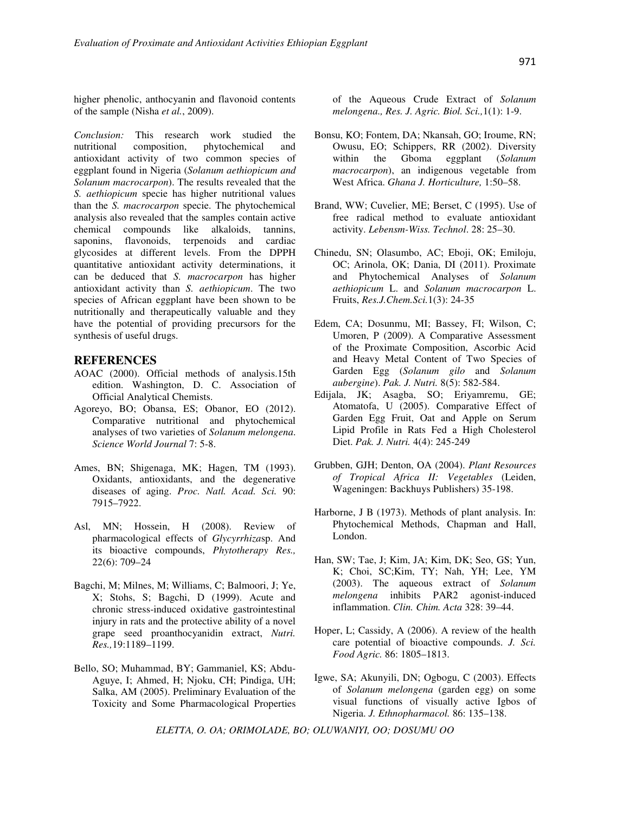higher phenolic, anthocyanin and flavonoid contents of the sample (Nisha *et al.*, 2009).

*Conclusion:* This research work studied the nutritional composition, phytochemical and antioxidant activity of two common species of eggplant found in Nigeria (*Solanum aethiopicum and Solanum macrocarpon*). The results revealed that the *S. aethiopicum* specie has higher nutritional values than the *S. macrocarpon* specie. The phytochemical analysis also revealed that the samples contain active chemical compounds like alkaloids, tannins, saponins, flavonoids, terpenoids and cardiac glycosides at different levels. From the DPPH quantitative antioxidant activity determinations, it can be deduced that *S. macrocarpon* has higher antioxidant activity than *S. aethiopicum*. The two species of African eggplant have been shown to be nutritionally and therapeutically valuable and they have the potential of providing precursors for the synthesis of useful drugs.

### **REFERENCES**

- AOAC (2000). Official methods of analysis.15th edition. Washington, D. C. Association of Official Analytical Chemists.
- Agoreyo, BO; Obansa, ES; Obanor, EO (2012). Comparative nutritional and phytochemical analyses of two varieties of *Solanum melongena*. *Science World Journal* 7: 5-8.
- Ames, BN; Shigenaga, MK; Hagen, TM (1993). Oxidants, antioxidants, and the degenerative diseases of aging. *Proc. Natl. Acad. Sci.* 90: 7915–7922.
- Asl, MN; Hossein, H (2008). Review of pharmacological effects of *Glycyrrhiza*sp. And its bioactive compounds, *Phytotherapy Res.,*  22(6): 709–24
- Bagchi, M; Milnes, M; Williams, C; Balmoori, J; Ye, X; Stohs, S; Bagchi, D (1999). Acute and chronic stress-induced oxidative gastrointestinal injury in rats and the protective ability of a novel grape seed proanthocyanidin extract, *Nutri. Res.,*19:1189–1199.
- Bello, SO; Muhammad, BY; Gammaniel, KS; Abdu-Aguye, I; Ahmed, H; Njoku, CH; Pindiga, UH; Salka, AM (2005). Preliminary Evaluation of the Toxicity and Some Pharmacological Properties

of the Aqueous Crude Extract of *Solanum melongena., Res. J. Agric. Biol. Sci.,*1(1): 1-9.

- Bonsu, KO; Fontem, DA; Nkansah, GO; Iroume, RN; Owusu, EO; Schippers, RR (2002). Diversity<br>within the Gboma eggplant (Solanum within the Gboma eggplant (*Solanum macrocarpon*), an indigenous vegetable from West Africa. *Ghana J. Horticulture,* 1:50–58.
- Brand, WW; Cuvelier, ME; Berset, C (1995). Use of free radical method to evaluate antioxidant activity. *Lebensm-Wiss. Technol*. 28: 25–30.
- Chinedu, SN; Olasumbo, AC; Eboji, OK; Emiloju, OC; Arinola, OK; Dania, DI (2011). Proximate and Phytochemical Analyses of *Solanum aethiopicum* L. and *Solanum macrocarpon* L. Fruits, *Res.J.Chem.Sci.*1(3): 24-35
- Edem, CA; Dosunmu, MI; Bassey, FI; Wilson, C; Umoren, P (2009). A Comparative Assessment of the Proximate Composition, Ascorbic Acid and Heavy Metal Content of Two Species of Garden Egg (*Solanum gilo* and *Solanum aubergine*). *Pak. J. Nutri.* 8(5): 582-584.
- Edijala, JK; Asagba, SO; Eriyamremu, GE; Atomatofa, U (2005). Comparative Effect of Garden Egg Fruit, Oat and Apple on Serum Lipid Profile in Rats Fed a High Cholesterol Diet. *Pak. J. Nutri.* 4(4): 245-249
- Grubben, GJH; Denton, OA (2004). *Plant Resources of Tropical Africa II: Vegetables* (Leiden, Wageningen: Backhuys Publishers) 35-198.
- Harborne, J B (1973). Methods of plant analysis. In: Phytochemical Methods, Chapman and Hall, London.
- Han, SW; Tae, J; Kim, JA; Kim, DK; Seo, GS; Yun, K; Choi, SC;Kim, TY; Nah, YH; Lee, YM (2003). The aqueous extract of *Solanum melongena* inhibits PAR2 agonist-induced inflammation. *Clin. Chim. Acta* 328: 39–44.
- Hoper, L; Cassidy, A (2006). A review of the health care potential of bioactive compounds. *J. Sci. Food Agric.* 86: 1805–1813.
- Igwe, SA; Akunyili, DN; Ogbogu, C (2003). Effects of *Solanum melongena* (garden egg) on some visual functions of visually active Igbos of Nigeria. *J. Ethnopharmacol.* 86: 135–138.